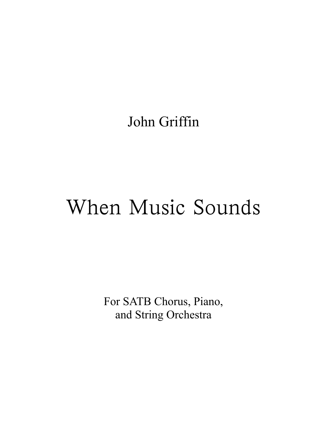John Griffin

## When Music Sounds

For SATB Chorus, Piano, and String Orchestra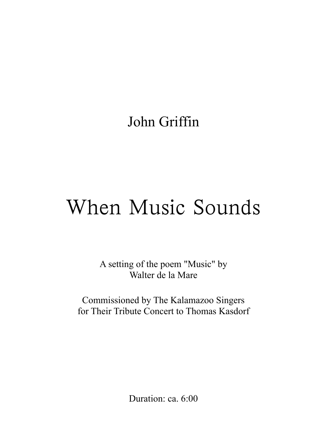John Griffin

## When Music Sounds

A setting of the poem "Music" by Walter de la Mare

Commissioned by The Kalamazoo Singers for Their Tribute Concert to Thomas Kasdorf

Duration: ca. 6:00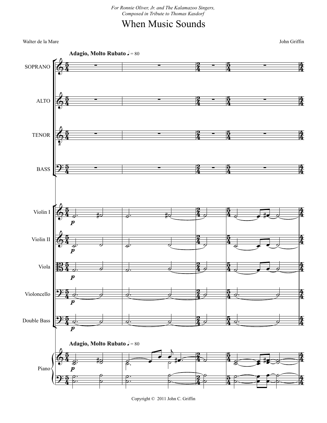## When Music Sounds

Walter de la Mare John Griffin



Copyright © 2011 John C. Griffin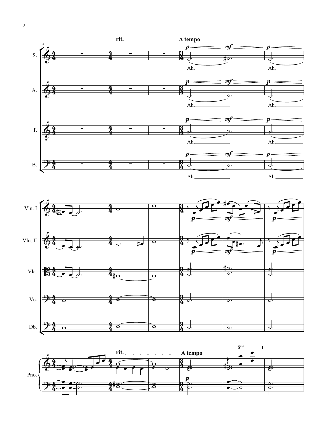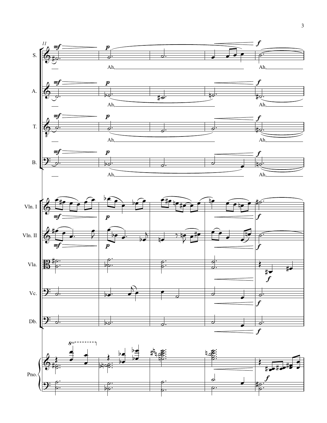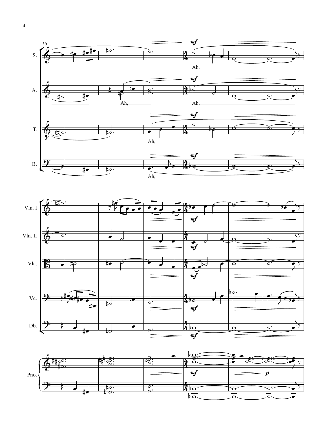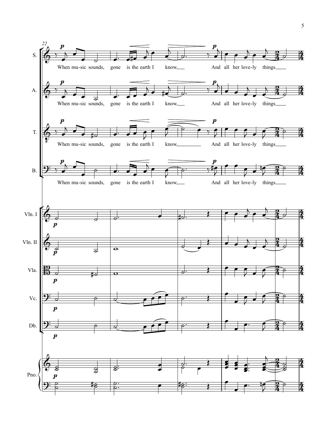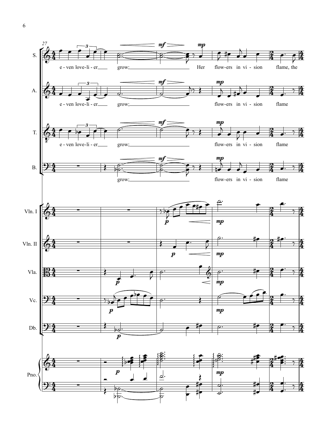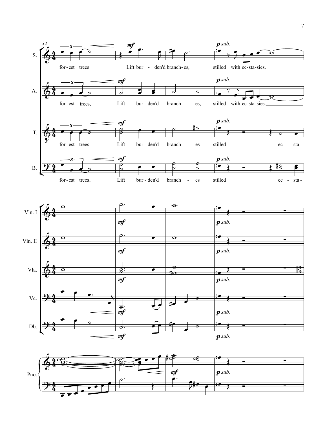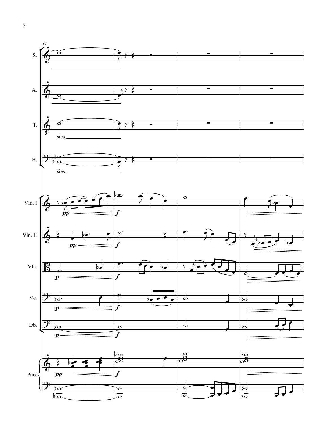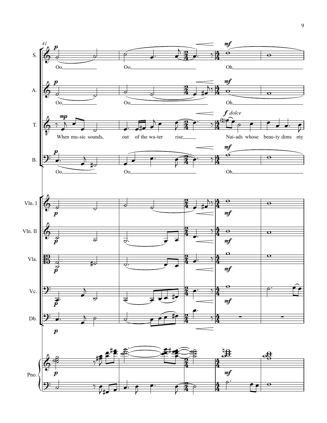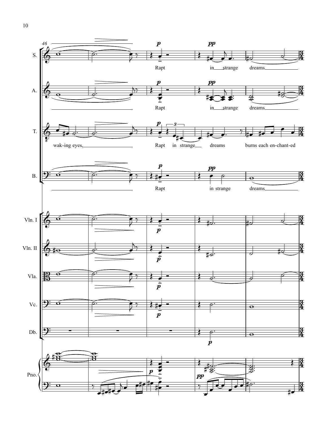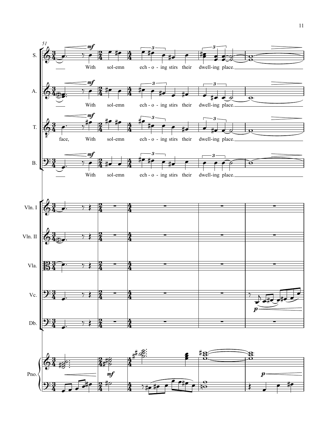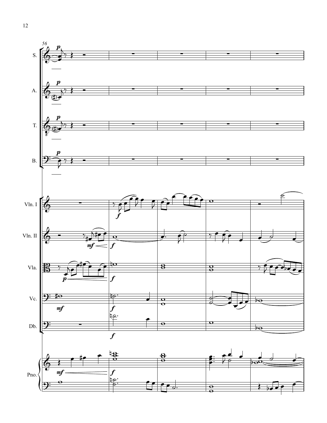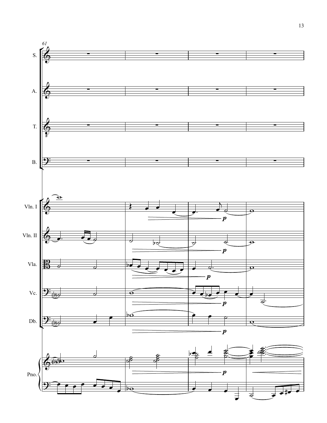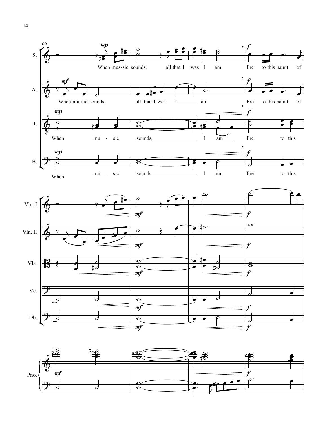

14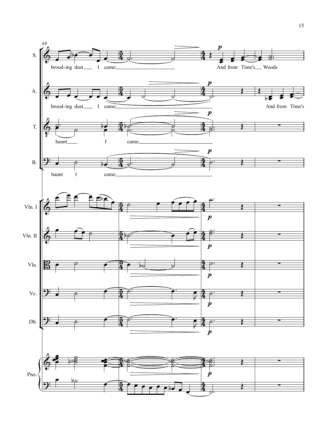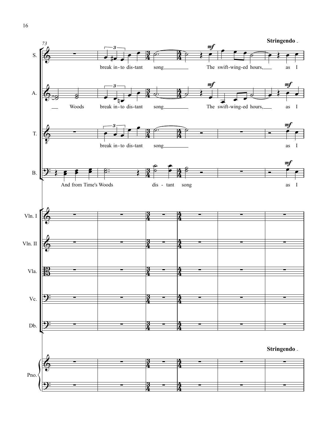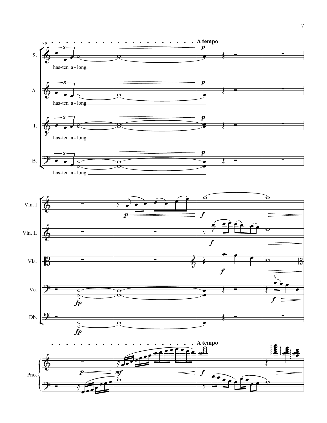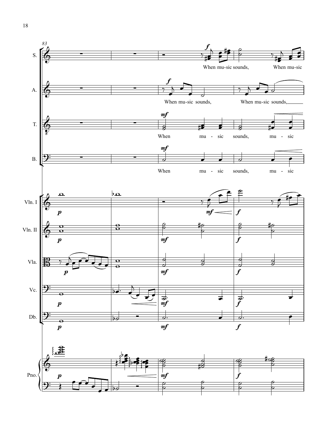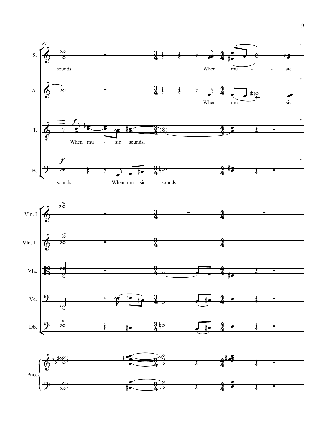